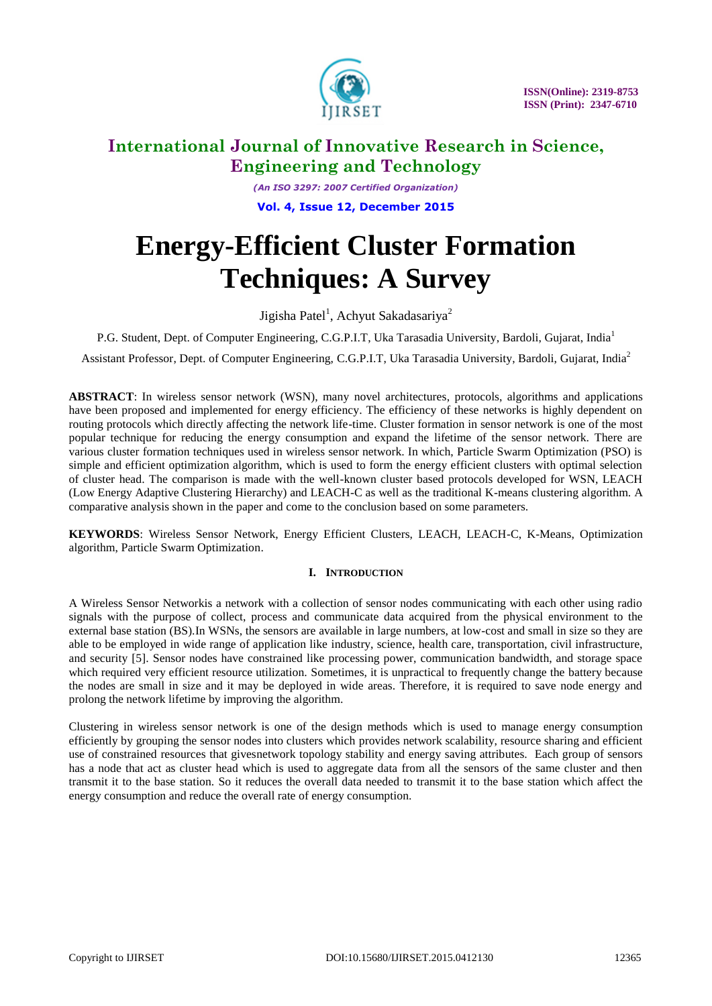

*(An ISO 3297: 2007 Certified Organization)* **Vol. 4, Issue 12, December 2015**

# **Energy-Efficient Cluster Formation Techniques: A Survey**

Jigisha Patel<sup>1</sup>, Achyut Sakadasariya<sup>2</sup>

P.G. Student, Dept. of Computer Engineering, C.G.P.I.T, Uka Tarasadia University, Bardoli, Gujarat, India<sup>1</sup>

Assistant Professor, Dept. of Computer Engineering, C.G.P.I.T, Uka Tarasadia University, Bardoli, Gujarat, India<sup>2</sup>

**ABSTRACT**: In wireless sensor network (WSN), many novel architectures, protocols, algorithms and applications have been proposed and implemented for energy efficiency. The efficiency of these networks is highly dependent on routing protocols which directly affecting the network life-time. Cluster formation in sensor network is one of the most popular technique for reducing the energy consumption and expand the lifetime of the sensor network. There are various cluster formation techniques used in wireless sensor network. In which, Particle Swarm Optimization (PSO) is simple and efficient optimization algorithm, which is used to form the energy efficient clusters with optimal selection of cluster head. The comparison is made with the well-known cluster based protocols developed for WSN, LEACH (Low Energy Adaptive Clustering Hierarchy) and LEACH-C as well as the traditional K-means clustering algorithm. A comparative analysis shown in the paper and come to the conclusion based on some parameters.

**KEYWORDS**: Wireless Sensor Network, Energy Efficient Clusters, LEACH, LEACH-C, K-Means, Optimization algorithm, Particle Swarm Optimization.

### **I. INTRODUCTION**

A Wireless Sensor Networkis a network with a collection of sensor nodes communicating with each other using radio signals with the purpose of collect, process and communicate data acquired from the physical environment to the external base station (BS).In WSNs, the sensors are available in large numbers, at low-cost and small in size so they are able to be employed in wide range of application like industry, science, health care, transportation, civil infrastructure, and security [5]. Sensor nodes have constrained like processing power, communication bandwidth, and storage space which required very efficient resource utilization. Sometimes, it is unpractical to frequently change the battery because the nodes are small in size and it may be deployed in wide areas. Therefore, it is required to save node energy and prolong the network lifetime by improving the algorithm.

Clustering in wireless sensor network is one of the design methods which is used to manage energy consumption efficiently by grouping the sensor nodes into clusters which provides network scalability, resource sharing and efficient use of constrained resources that givesnetwork topology stability and energy saving attributes. Each group of sensors has a node that act as cluster head which is used to aggregate data from all the sensors of the same cluster and then transmit it to the base station. So it reduces the overall data needed to transmit it to the base station which affect the energy consumption and reduce the overall rate of energy consumption.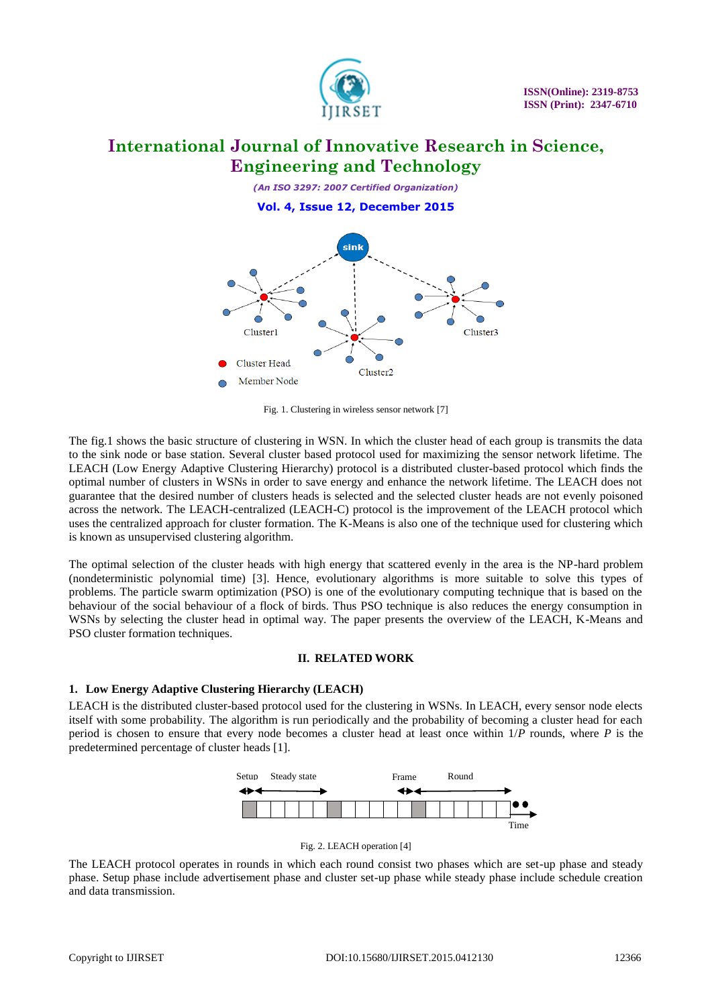

*(An ISO 3297: 2007 Certified Organization)* **Vol. 4, Issue 12, December 2015**



Fig. 1. Clustering in wireless sensor network [7]

The fig.1 shows the basic structure of clustering in WSN. In which the cluster head of each group is transmits the data to the sink node or base station. Several cluster based protocol used for maximizing the sensor network lifetime. The LEACH (Low Energy Adaptive Clustering Hierarchy) protocol is a distributed cluster-based protocol which finds the optimal number of clusters in WSNs in order to save energy and enhance the network lifetime. The LEACH does not guarantee that the desired number of clusters heads is selected and the selected cluster heads are not evenly poisoned across the network. The LEACH-centralized (LEACH-C) protocol is the improvement of the LEACH protocol which uses the centralized approach for cluster formation. The K-Means is also one of the technique used for clustering which is known as unsupervised clustering algorithm.

The optimal selection of the cluster heads with high energy that scattered evenly in the area is the NP-hard problem (nondeterministic polynomial time) [3]. Hence, evolutionary algorithms is more suitable to solve this types of problems. The particle swarm optimization (PSO) is one of the evolutionary computing technique that is based on the behaviour of the social behaviour of a flock of birds. Thus PSO technique is also reduces the energy consumption in WSNs by selecting the cluster head in optimal way. The paper presents the overview of the LEACH, K-Means and PSO cluster formation techniques.

### **II. RELATED WORK**

### **1. Low Energy Adaptive Clustering Hierarchy (LEACH)**

LEACH is the distributed cluster-based protocol used for the clustering in WSNs. In LEACH, every sensor node elects itself with some probability. The algorithm is run periodically and the probability of becoming a cluster head for each period is chosen to ensure that every node becomes a cluster head at least once within 1/*P* rounds, where *P* is the predetermined percentage of cluster heads [1].



Fig. 2. LEACH operation [4]

The LEACH protocol operates in rounds in which each round consist two phases which are set-up phase and steady phase. Setup phase include advertisement phase and cluster set-up phase while steady phase include schedule creation and data transmission.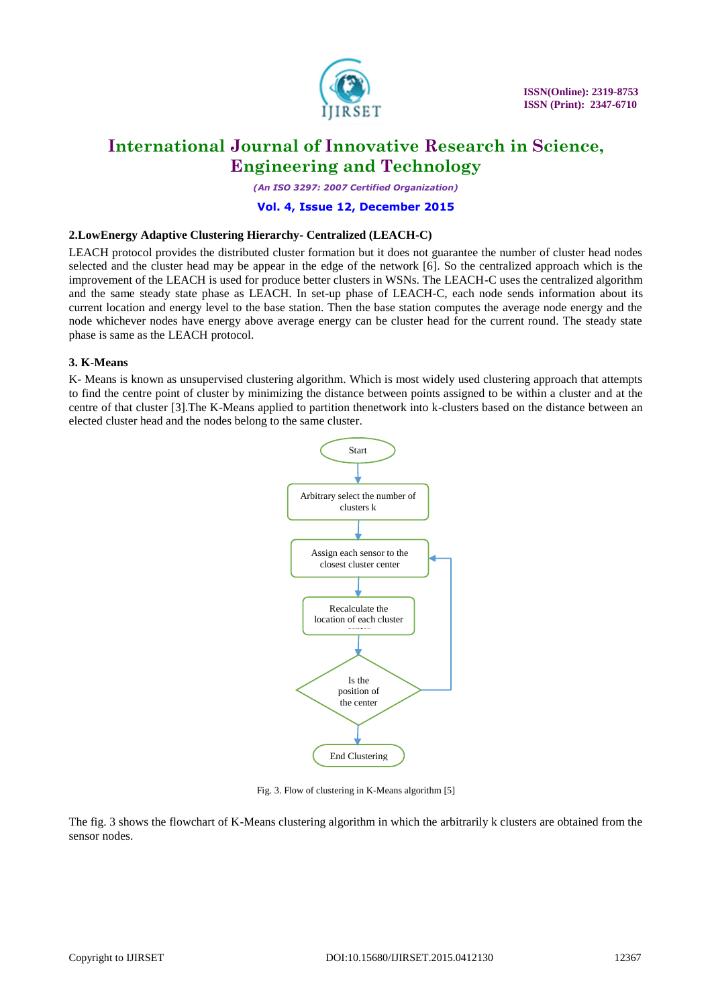

*(An ISO 3297: 2007 Certified Organization)*

### **Vol. 4, Issue 12, December 2015**

### **2.LowEnergy Adaptive Clustering Hierarchy- Centralized (LEACH-C)**

LEACH protocol provides the distributed cluster formation but it does not guarantee the number of cluster head nodes selected and the cluster head may be appear in the edge of the network [6]. So the centralized approach which is the improvement of the LEACH is used for produce better clusters in WSNs. The LEACH-C uses the centralized algorithm and the same steady state phase as LEACH. In set-up phase of LEACH-C, each node sends information about its current location and energy level to the base station. Then the base station computes the average node energy and the node whichever nodes have energy above average energy can be cluster head for the current round. The steady state phase is same as the LEACH protocol.

### **3. K-Means**

K- Means is known as unsupervised clustering algorithm. Which is most widely used clustering approach that attempts to find the centre point of cluster by minimizing the distance between points assigned to be within a cluster and at the centre of that cluster [3].The K-Means applied to partition thenetwork into k-clusters based on the distance between an elected cluster head and the nodes belong to the same cluster.



Fig. 3. Flow of clustering in K-Means algorithm [5]

The fig. 3 shows the flowchart of K-Means clustering algorithm in which the arbitrarily k clusters are obtained from the sensor nodes.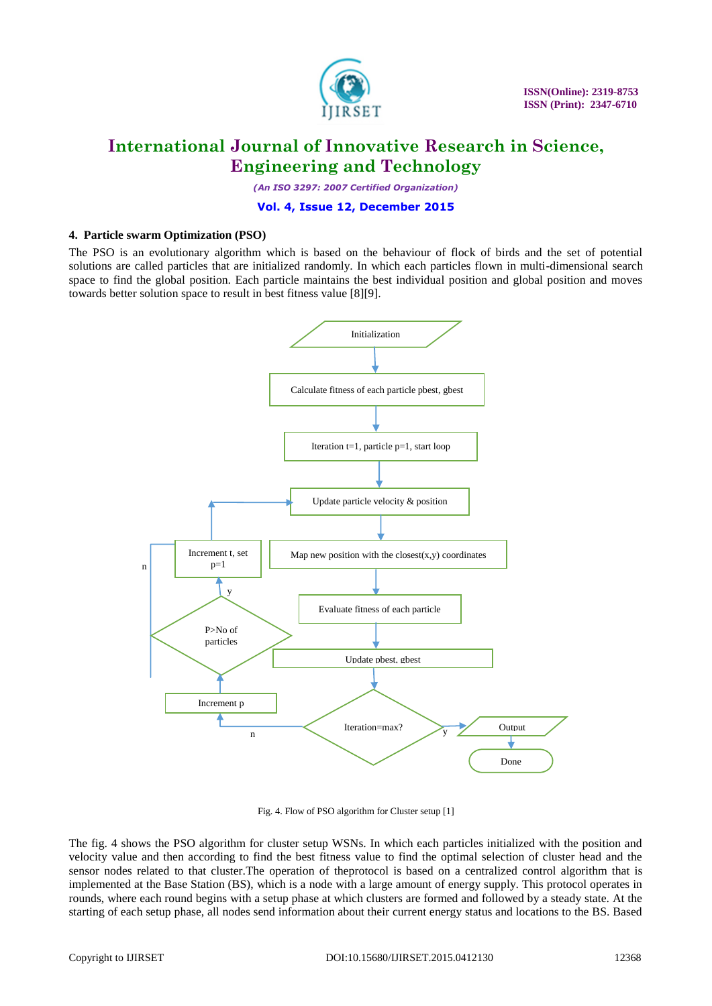

*(An ISO 3297: 2007 Certified Organization)*

### **Vol. 4, Issue 12, December 2015**

### **4. Particle swarm Optimization (PSO)**

The PSO is an evolutionary algorithm which is based on the behaviour of flock of birds and the set of potential solutions are called particles that are initialized randomly. In which each particles flown in multi-dimensional search space to find the global position. Each particle maintains the best individual position and global position and moves towards better solution space to result in best fitness value [8][9].



Fig. 4. Flow of PSO algorithm for Cluster setup [1]

The fig. 4 shows the PSO algorithm for cluster setup WSNs. In which each particles initialized with the position and velocity value and then according to find the best fitness value to find the optimal selection of cluster head and the sensor nodes related to that cluster.The operation of theprotocol is based on a centralized control algorithm that is implemented at the Base Station (BS), which is a node with a large amount of energy supply. This protocol operates in rounds, where each round begins with a setup phase at which clusters are formed and followed by a steady state. At the starting of each setup phase, all nodes send information about their current energy status and locations to the BS. Based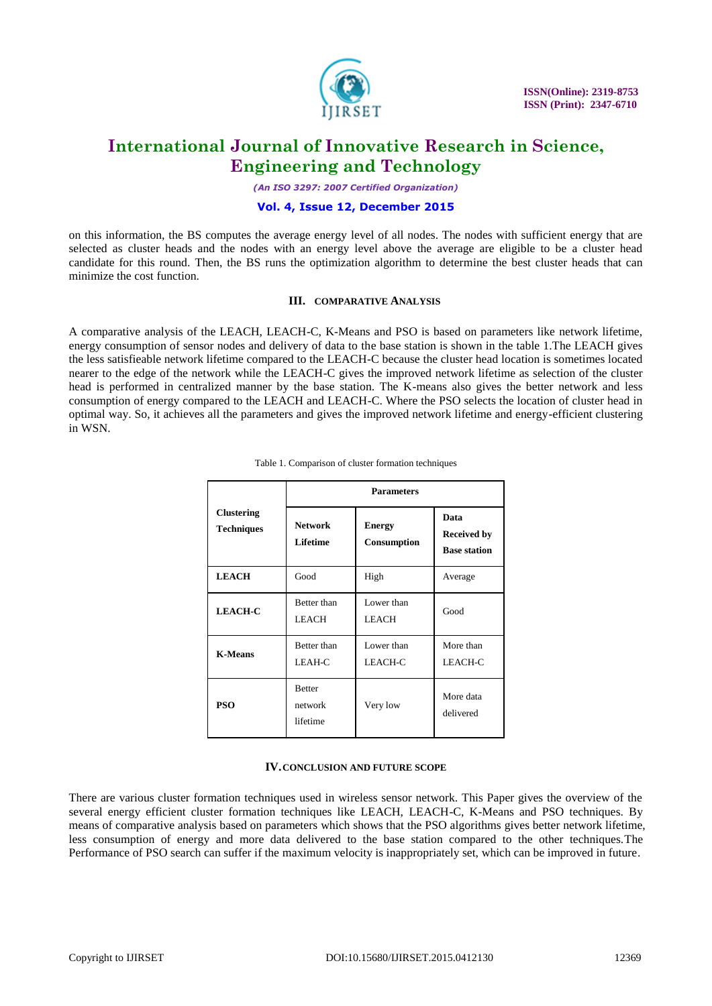

*(An ISO 3297: 2007 Certified Organization)*

### **Vol. 4, Issue 12, December 2015**

on this information, the BS computes the average energy level of all nodes. The nodes with sufficient energy that are selected as cluster heads and the nodes with an energy level above the average are eligible to be a cluster head candidate for this round. Then, the BS runs the optimization algorithm to determine the best cluster heads that can minimize the cost function.

#### **III. COMPARATIVE ANALYSIS**

A comparative analysis of the LEACH, LEACH-C, K-Means and PSO is based on parameters like network lifetime, energy consumption of sensor nodes and delivery of data to the base station is shown in the table 1.The LEACH gives the less satisfieable network lifetime compared to the LEACH-C because the cluster head location is sometimes located nearer to the edge of the network while the LEACH-C gives the improved network lifetime as selection of the cluster head is performed in centralized manner by the base station. The K-means also gives the better network and less consumption of energy compared to the LEACH and LEACH-C. Where the PSO selects the location of cluster head in optimal way. So, it achieves all the parameters and gives the improved network lifetime and energy-efficient clustering in WSN.

| <b>Clustering</b><br><b>Techniques</b> | <b>Parameters</b>                    |                              |                                                   |  |  |
|----------------------------------------|--------------------------------------|------------------------------|---------------------------------------------------|--|--|
|                                        | <b>Network</b><br><b>Lifetime</b>    | <b>Energy</b><br>Consumption | Data<br><b>Received by</b><br><b>Base station</b> |  |  |
| <b>LEACH</b>                           | Good                                 | High                         | Average                                           |  |  |
| <b>LEACH-C</b>                         | Better than<br><b>LEACH</b>          | Lower than<br><b>LEACH</b>   | Good                                              |  |  |
| <b>K-Means</b>                         | Better than<br>LEAH-C                | Lower than<br><b>LEACH-C</b> | More than<br>LEACH-C                              |  |  |
| <b>PSO</b>                             | <b>Better</b><br>network<br>lifetime | Very low                     | More data<br>delivered                            |  |  |

|  |  |  | Table 1. Comparison of cluster formation techniques |
|--|--|--|-----------------------------------------------------|
|  |  |  |                                                     |

#### **IV.CONCLUSION AND FUTURE SCOPE**

There are various cluster formation techniques used in wireless sensor network. This Paper gives the overview of the several energy efficient cluster formation techniques like LEACH, LEACH-C, K-Means and PSO techniques. By means of comparative analysis based on parameters which shows that the PSO algorithms gives better network lifetime, less consumption of energy and more data delivered to the base station compared to the other techniques.The Performance of PSO search can suffer if the maximum velocity is inappropriately set, which can be improved in future.